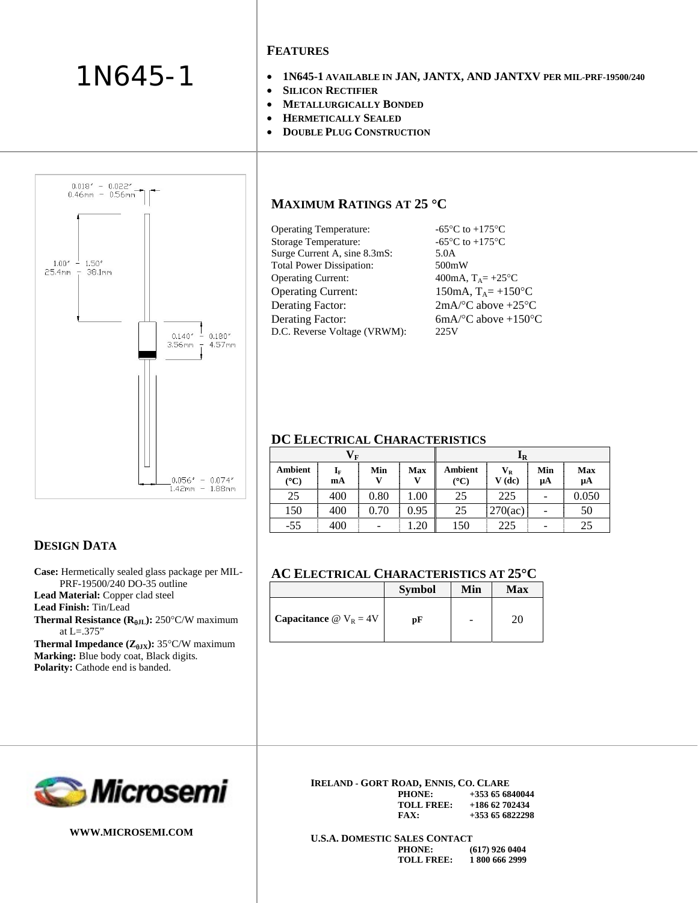### 1N645-1

#### **FEATURES**

- **1N645-1 AVAILABLE IN JAN, JANTX, AND JANTXV PER MIL-PRF-19500/240**
- **SILICON RECTIFIER**
- **METALLURGICALLY BONDED**
- **HERMETICALLY SEALED**
- **DOUBLE PLUG CONSTRUCTION**

# $0.018'' - 0.022''$ <br> $0.46$ mm - 0.56mm  $1.00''$   $1.50''$  $25.4$ mm  $- 38.1$ mm  $0.140'' - 0.180''$  $3.56$ mm  $-4.57$ mm  $0.056'' - 0.074''$  $1.42$ mm - 1.88mm

#### **MAXIMUM RATINGS AT 25** °**C**

| <b>Operating Temperature:</b>   | -65 $\mathrm{^{\circ}C}$ to +175 $\mathrm{^{\circ}C}$ |
|---------------------------------|-------------------------------------------------------|
| <b>Storage Temperature:</b>     | -65 $\mathrm{^{\circ}C}$ to +175 $\mathrm{^{\circ}C}$ |
| Surge Current A, sine 8.3mS:    | 5.0A                                                  |
| <b>Total Power Dissipation:</b> | 500mW                                                 |
| <b>Operating Current:</b>       | 400mA, $T_A = +25$ °C                                 |
| <b>Operating Current:</b>       | 150mA, $T_A = +150$ °C                                |
| <b>Derating Factor:</b>         | $2mA$ <sup>o</sup> C above $+25$ <sup>o</sup> C       |
| <b>Derating Factor:</b>         | $6mA$ <sup>o</sup> C above +150 <sup>o</sup> C        |
| D.C. Reverse Voltage (VRWM):    | 225V                                                  |

#### **DC ELECTRICAL CHARACTERISTICS**

|                          | $\mathbf{V}_\mathbf{F}$       |      |      |                 | <b>IR</b>                           |                          |                |
|--------------------------|-------------------------------|------|------|-----------------|-------------------------------------|--------------------------|----------------|
| Ambient<br>$\rm ^{(o}C)$ | $\mathbf{I}_{\text{F}}$<br>mA | Min  | Max  | Ambient<br>(°C) | $\mathbf{V}_\mathbf{R}$<br>$V$ (dc) | Min<br>μA                | Max<br>$\mu A$ |
| 25                       | 400                           | 0.80 | 1.00 | 25              | 225                                 | ۰                        | 0.050          |
| 150                      | 400                           | 0.70 | 0.95 | 25              | 270(ac)                             | $\overline{\phantom{0}}$ | 50             |
| $-55$                    | 400                           | -    | 1.20 | 150             | 225                                 | -                        | 25             |

#### **AC ELECTRICAL CHARACTERISTICS AT 25**°**C**

|                                          | <b>Symbol</b> | Min | <b>Max</b> |
|------------------------------------------|---------------|-----|------------|
| Capacitance $\omega$ V <sub>R</sub> = 4V | рF            |     | 70.        |

## *Microsemi*

**Case:** Hermetically sealed glass package per MIL-PRF-19500/240 DO-35 outline

**Thermal Resistance (R<sub>θJL</sub>): 250°C/W maximum** 

**Thermal Impedance (** $Z_{\theta JX}$ **): 35°C/W maximum** 

**Marking:** Blue body coat, Black digits. Polarity: Cathode end is banded.

**Lead Material:** Copper clad steel



**DESIGN DATA**

**Lead Finish:** Tin/Lead

at L=.375"

**WWW.MICROSEMI.COM** 

#### **IRELAND - GORT ROAD, ENNIS, CO. CLARE**

| PHONE:     | $+353$ 65 6840044 |
|------------|-------------------|
| TOLL FREE: | $+18662702434$    |
| FAX:       | $+353656822298$   |

**U.S.A. DOMESTIC SALES CONTACT PHONE: (617) 926 0404 TOLL FREE: 1 800 666 2999**